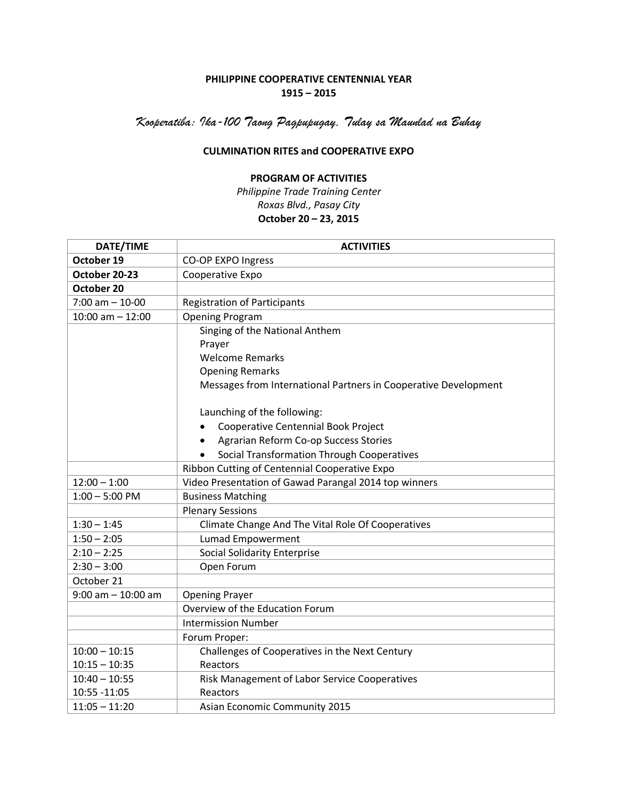## **PHILIPPINE COOPERATIVE CENTENNIAL YEAR 1915 – 2015**

*Kooperatiba: Ika-100 Taong Pagpupugay, Tulay sa Maunlad na Buhay*

## **CULMINATION RITES and COOPERATIVE EXPO**

## **PROGRAM OF ACTIVITIES**

*Philippine Trade Training Center Roxas Blvd., Pasay City* **October 20 – 23, 2015**

| DATE/TIME             | <b>ACTIVITIES</b>                                               |
|-----------------------|-----------------------------------------------------------------|
| October 19            | CO-OP EXPO Ingress                                              |
| October 20-23         | Cooperative Expo                                                |
| October 20            |                                                                 |
| $7:00$ am $-10-00$    | <b>Registration of Participants</b>                             |
| $10:00$ am $- 12:00$  | <b>Opening Program</b>                                          |
|                       | Singing of the National Anthem                                  |
|                       | Prayer                                                          |
|                       | <b>Welcome Remarks</b>                                          |
|                       | <b>Opening Remarks</b>                                          |
|                       | Messages from International Partners in Cooperative Development |
|                       | Launching of the following:                                     |
|                       | Cooperative Centennial Book Project                             |
|                       | Agrarian Reform Co-op Success Stories                           |
|                       | Social Transformation Through Cooperatives                      |
|                       | Ribbon Cutting of Centennial Cooperative Expo                   |
| $12:00 - 1:00$        | Video Presentation of Gawad Parangal 2014 top winners           |
| $1:00 - 5:00$ PM      | <b>Business Matching</b>                                        |
|                       | <b>Plenary Sessions</b>                                         |
| $1:30 - 1:45$         | Climate Change And The Vital Role Of Cooperatives               |
| $1:50 - 2:05$         | Lumad Empowerment                                               |
| $2:10 - 2:25$         | <b>Social Solidarity Enterprise</b>                             |
| $2:30 - 3:00$         | Open Forum                                                      |
| October 21            |                                                                 |
| $9:00$ am $-10:00$ am | <b>Opening Prayer</b>                                           |
|                       | Overview of the Education Forum                                 |
|                       | <b>Intermission Number</b>                                      |
|                       | Forum Proper:                                                   |
| $10:00 - 10:15$       | Challenges of Cooperatives in the Next Century                  |
| $10:15 - 10:35$       | Reactors                                                        |
| $10:40 - 10:55$       | Risk Management of Labor Service Cooperatives                   |
| 10:55 - 11:05         | Reactors                                                        |
| $11:05 - 11:20$       | <b>Asian Economic Community 2015</b>                            |